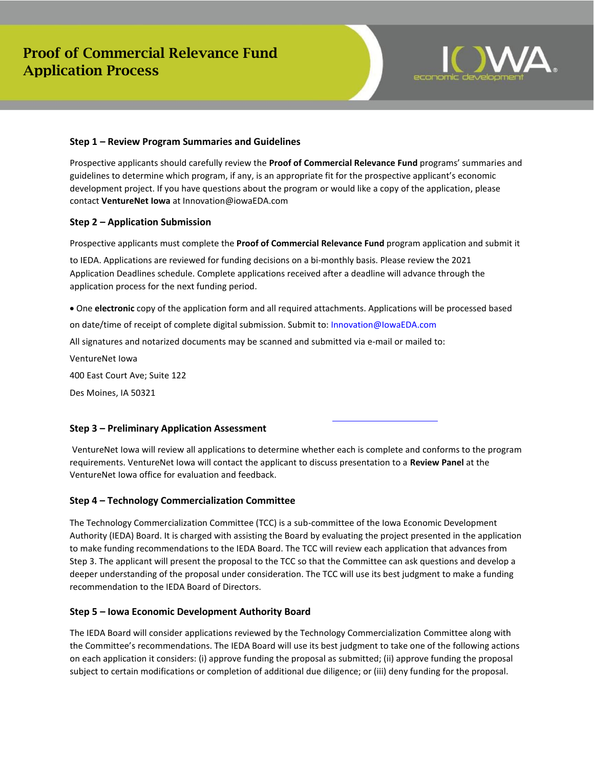

## **Step 1 – Review Program Summaries and Guidelines**

Prospective applicants should carefully review the **Proof of Commercial Relevance Fund** programs' summaries and guidelines to determine which program, if any, is an appropriate fit for the prospective applicant's economic development project. If you have questions about the program or would like a copy of the application, please contact **VentureNet Iowa** at Innovation@iowaEDA.com

## **Step 2 – Application Submission**

Prospective applicants must complete the **Proof of Commercial Relevance Fund** program application and submit it

to IEDA. Applications are reviewed for funding decisions on a bi-monthly basis. Please review the 2021 Application Deadlines schedule. Complete applications received after a deadline will advance through the application process for the next funding period.

 on date/time of receipt of complete digital submission. Submit to: Innovation@IowaEDA.com • One **electronic** copy of the application form and all required attachments. Applications will be processed based All signatures and notarized documents may be scanned and submitted via e‐mail or mailed to: VentureNet Iowa 400 East Court Ave; Suite 122

Des Moines, IA 50321

### **Step 3 – Preliminary Application Assessment**

VentureNet Iowa will review all applications to determine whether each is complete and conforms to the program requirements. VentureNet Iowa will contact the applicant to discuss presentation to a **Review Panel** at the VentureNet Iowa office for evaluation and feedback.

### **Step 4 – Technology Commercialization Committee**

The Technology Commercialization Committee (TCC) is a sub-committee of the Iowa Economic Development Authority (IEDA) Board. It is charged with assisting the Board by evaluating the project presented in the application to make funding recommendations to the IEDA Board. The TCC will review each application that advances from Step 3. The applicant will present the proposal to the TCC so that the Committee can ask questions and develop a deeper understanding of the proposal under consideration. The TCC will use its best judgment to make a funding recommendation to the IEDA Board of Directors.

### **Step 5 – Iowa Economic Development Authority Board**

The IEDA Board will consider applications reviewed by the Technology Commercialization Committee along with the Committee's recommendations. The IEDA Board will use its best judgment to take one of the following actions on each application it considers: (i) approve funding the proposal as submitted; (ii) approve funding the proposal subject to certain modifications or completion of additional due diligence; or (iii) deny funding for the proposal.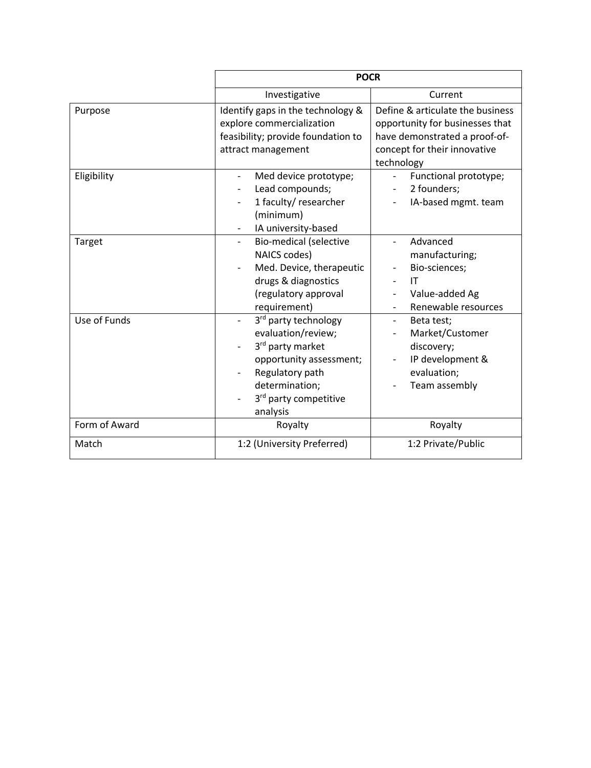|               | <b>POCR</b>                                                                                                                                                         |                                                                                                                                                    |  |  |
|---------------|---------------------------------------------------------------------------------------------------------------------------------------------------------------------|----------------------------------------------------------------------------------------------------------------------------------------------------|--|--|
|               | Investigative                                                                                                                                                       | Current                                                                                                                                            |  |  |
| Purpose       | Identify gaps in the technology &<br>explore commercialization<br>feasibility; provide foundation to<br>attract management                                          | Define & articulate the business<br>opportunity for businesses that<br>have demonstrated a proof-of-<br>concept for their innovative<br>technology |  |  |
| Eligibility   | Med device prototype;<br>$\overline{\phantom{0}}$<br>Lead compounds;<br>1 faculty/ researcher<br>(minimum)<br>IA university-based                                   | Functional prototype;<br>$\overline{\phantom{a}}$<br>2 founders;<br>IA-based mgmt. team                                                            |  |  |
| Target        | <b>Bio-medical (selective</b><br>NAICS codes)<br>Med. Device, therapeutic<br>drugs & diagnostics<br>(regulatory approval<br>requirement)                            | Advanced<br>manufacturing;<br>Bio-sciences;<br>IT<br>Value-added Ag<br>Renewable resources                                                         |  |  |
| Use of Funds  | 3rd party technology<br>evaluation/review;<br>3rd party market<br>opportunity assessment;<br>Regulatory path<br>determination;<br>3rd party competitive<br>analysis | Beta test;<br>$\overline{\phantom{0}}$<br>Market/Customer<br>discovery;<br>IP development &<br>evaluation;<br>Team assembly                        |  |  |
| Form of Award | Royalty                                                                                                                                                             | Royalty                                                                                                                                            |  |  |
| Match         | 1:2 (University Preferred)                                                                                                                                          | 1:2 Private/Public                                                                                                                                 |  |  |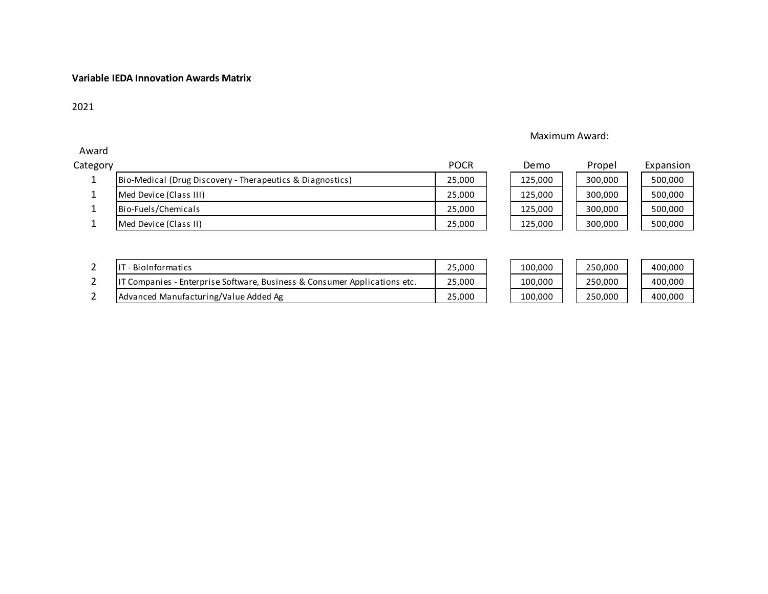## **Variable IEDA Innovation Awards Matrix**

# 21

Award

# Maximum Award:

| Category |                                                           | <b>POCR</b> | Demo    | Propel  | Expansion |
|----------|-----------------------------------------------------------|-------------|---------|---------|-----------|
|          | Bio-Medical (Drug Discovery - Therapeutics & Diagnostics) | 25,000      | 125,000 | 300,000 | 500,000   |
|          | Med Device (Class III)                                    | 25,000      | 125,000 | 300,000 | 500,000   |
|          | Bio-Fuels/Chemicals                                       | 25,000      | 125,000 | 300,000 | 500,000   |
|          | Med Device (Class II)                                     | 25,000      | 125.000 | 300,000 | 500,000   |

| Propel  | Expansion |
|---------|-----------|
| 300,000 | 500,000   |
| 300,000 | 500,000   |
| 300,000 | 500,000   |
| 300,000 | 500,000   |
|         |           |

| ' - BioInformatics                                                        | 25.000 | 100.000 | 250,000 | 400.000 |
|---------------------------------------------------------------------------|--------|---------|---------|---------|
| IT Companies - Enterprise Software, Business & Consumer Applications etc. | 25,000 | 100.000 | 250,000 | 400.000 |
| Advanced Manufacturing/Value Added Ag                                     | 25.000 | 100.000 | 250,000 | 400,000 |

| IT - BioInformatics                                                       | 25,000 |
|---------------------------------------------------------------------------|--------|
| IT Companies - Enterprise Software, Business & Consumer Applications etc. | 25,000 |
| Advanced Manufacturing/Value Added Ag                                     | 25,000 |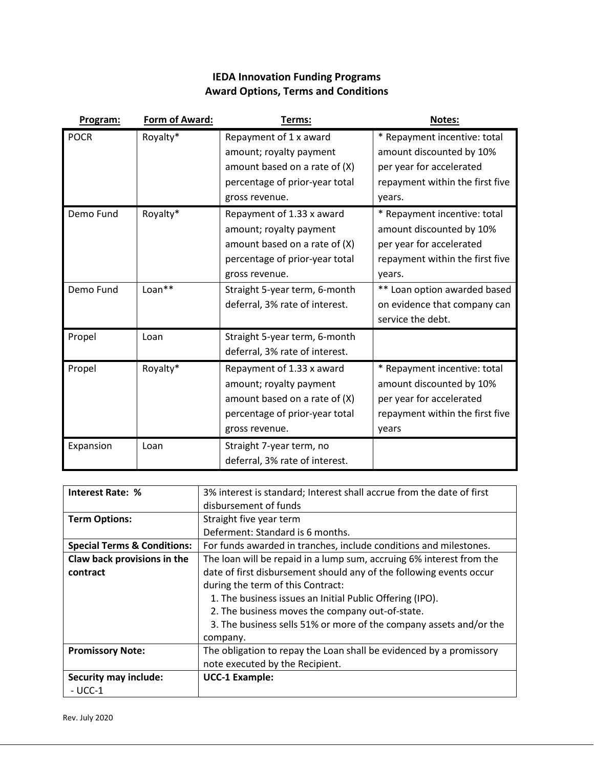# **IEDA Innovation Funding Programs Award Options, Terms and Conditions**

| Program:    | Form of Award: | Terms:                                                                                                                                      | Notes:                                                                                                                            |
|-------------|----------------|---------------------------------------------------------------------------------------------------------------------------------------------|-----------------------------------------------------------------------------------------------------------------------------------|
| <b>POCR</b> | Royalty*       | Repayment of 1 x award<br>amount; royalty payment<br>amount based on a rate of $(X)$<br>percentage of prior-year total<br>gross revenue.    | * Repayment incentive: total<br>amount discounted by 10%<br>per year for accelerated<br>repayment within the first five<br>years. |
| Demo Fund   | Royalty*       | Repayment of 1.33 x award<br>amount; royalty payment<br>amount based on a rate of $(X)$<br>percentage of prior-year total<br>gross revenue. | * Repayment incentive: total<br>amount discounted by 10%<br>per year for accelerated<br>repayment within the first five<br>years. |
| Demo Fund   | Loan**         | Straight 5-year term, 6-month<br>deferral, 3% rate of interest.                                                                             | ** Loan option awarded based<br>on evidence that company can<br>service the debt.                                                 |
| Propel      | Loan           | Straight 5-year term, 6-month<br>deferral, 3% rate of interest.                                                                             |                                                                                                                                   |
| Propel      | Royalty*       | Repayment of 1.33 x award<br>amount; royalty payment<br>amount based on a rate of (X)<br>percentage of prior-year total<br>gross revenue.   | * Repayment incentive: total<br>amount discounted by 10%<br>per year for accelerated<br>repayment within the first five<br>years  |
| Expansion   | Loan           | Straight 7-year term, no<br>deferral, 3% rate of interest.                                                                                  |                                                                                                                                   |

| <b>Interest Rate: %</b>                | 3% interest is standard; Interest shall accrue from the date of first |
|----------------------------------------|-----------------------------------------------------------------------|
|                                        | disbursement of funds                                                 |
| <b>Term Options:</b>                   | Straight five year term                                               |
|                                        | Deferment: Standard is 6 months.                                      |
| <b>Special Terms &amp; Conditions:</b> | For funds awarded in tranches, include conditions and milestones.     |
| Claw back provisions in the            | The loan will be repaid in a lump sum, accruing 6% interest from the  |
| contract                               | date of first disbursement should any of the following events occur   |
|                                        | during the term of this Contract:                                     |
|                                        | 1. The business issues an Initial Public Offering (IPO).              |
|                                        | 2. The business moves the company out-of-state.                       |
|                                        | 3. The business sells 51% or more of the company assets and/or the    |
|                                        | company.                                                              |
| <b>Promissory Note:</b>                | The obligation to repay the Loan shall be evidenced by a promissory   |
|                                        | note executed by the Recipient.                                       |
| <b>Security may include:</b>           | <b>UCC-1 Example:</b>                                                 |
| - UCC-1                                |                                                                       |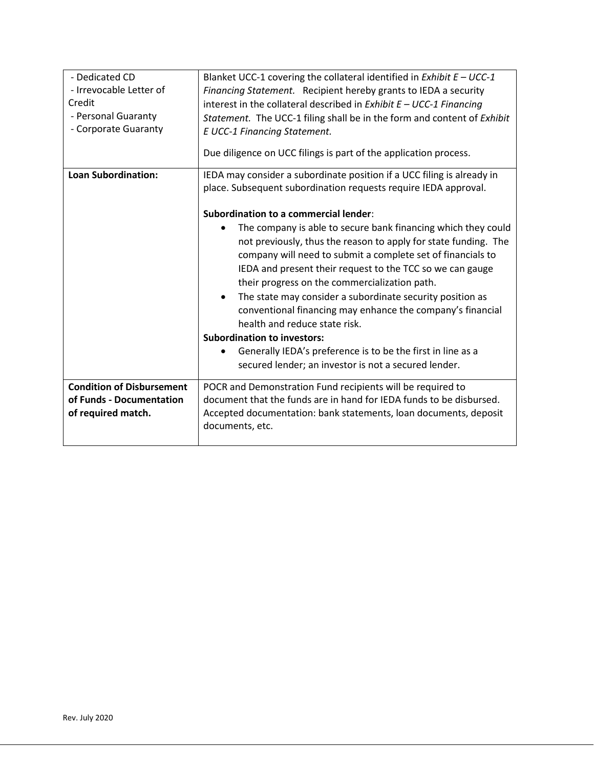| - Dedicated CD<br>- Irrevocable Letter of<br>Credit<br>- Personal Guaranty<br>- Corporate Guaranty | Blanket UCC-1 covering the collateral identified in Exhibit $E - UCC-1$<br>Financing Statement. Recipient hereby grants to IEDA a security<br>interest in the collateral described in Exhibit $E - UCC-1$ Financing<br>Statement. The UCC-1 filing shall be in the form and content of Exhibit<br><b>E UCC-1 Financing Statement.</b><br>Due diligence on UCC filings is part of the application process.                                                                                                                                                                                                                                                                                                                                                                                                                                                     |
|----------------------------------------------------------------------------------------------------|---------------------------------------------------------------------------------------------------------------------------------------------------------------------------------------------------------------------------------------------------------------------------------------------------------------------------------------------------------------------------------------------------------------------------------------------------------------------------------------------------------------------------------------------------------------------------------------------------------------------------------------------------------------------------------------------------------------------------------------------------------------------------------------------------------------------------------------------------------------|
| <b>Loan Subordination:</b>                                                                         | IEDA may consider a subordinate position if a UCC filing is already in<br>place. Subsequent subordination requests require IEDA approval.<br><b>Subordination to a commercial lender:</b><br>The company is able to secure bank financing which they could<br>$\bullet$<br>not previously, thus the reason to apply for state funding. The<br>company will need to submit a complete set of financials to<br>IEDA and present their request to the TCC so we can gauge<br>their progress on the commercialization path.<br>The state may consider a subordinate security position as<br>$\bullet$<br>conventional financing may enhance the company's financial<br>health and reduce state risk.<br><b>Subordination to investors:</b><br>Generally IEDA's preference is to be the first in line as a<br>secured lender; an investor is not a secured lender. |
| <b>Condition of Disbursement</b><br>of Funds - Documentation<br>of required match.                 | POCR and Demonstration Fund recipients will be required to<br>document that the funds are in hand for IEDA funds to be disbursed.<br>Accepted documentation: bank statements, loan documents, deposit<br>documents, etc.                                                                                                                                                                                                                                                                                                                                                                                                                                                                                                                                                                                                                                      |